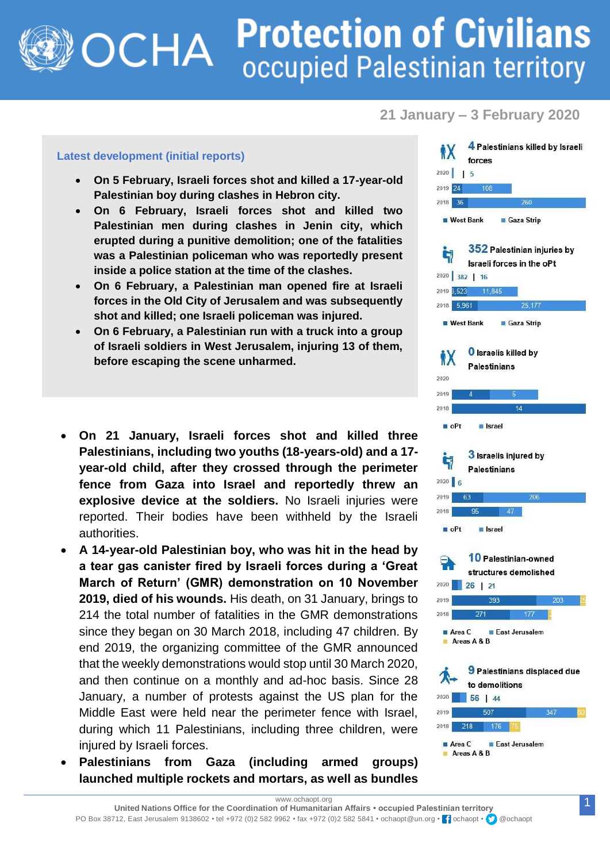## **Protection of Civilians OCHA** occupied Palestinian territory

**21 January – 3 February 2020**

## **Latest development (initial reports)**

- **On 5 February, Israeli forces shot and killed a 17-year-old Palestinian boy during clashes in Hebron city.**
- **On 6 February, Israeli forces shot and killed two Palestinian men during clashes in Jenin city, which erupted during a punitive demolition; one of the fatalities was a Palestinian policeman who was reportedly present inside a police station at the time of the clashes.**
- **On 6 February, a Palestinian man opened fire at Israeli forces in the Old City of Jerusalem and was subsequently shot and killed; one Israeli policeman was injured.**
- **On 6 February, a Palestinian run with a truck into a group of Israeli soldiers in West Jerusalem, injuring 13 of them, before escaping the scene unharmed.**
- **On 21 January, Israeli forces shot and killed three Palestinians, including two youths (18-years-old) and a 17 year-old child, after they crossed through the perimeter fence from Gaza into Israel and reportedly threw an explosive device at the soldiers.** No Israeli injuries were reported. Their bodies have been withheld by the Israeli authorities.
- **A 14-year-old Palestinian boy, who was hit in the head by a tear gas canister fired by Israeli forces during a 'Great March of Return' (GMR) demonstration on 10 November 2019, died of his wounds.** His death, on 31 January, brings to 214 the total number of fatalities in the GMR demonstrations since they began on 30 March 2018, including 47 children. By end 2019, the organizing committee of the GMR announced that the weekly demonstrations would stop until 30 March 2020, and then continue on a monthly and ad-hoc basis. Since 28 January, a number of protests against the US plan for the Middle East were held near the perimeter fence with Israel, during which 11 Palestinians, including three children, were injured by Israeli forces.
- **Palestinians from Gaza (including armed groups) launched multiple rockets and mortars, as well as bundles**

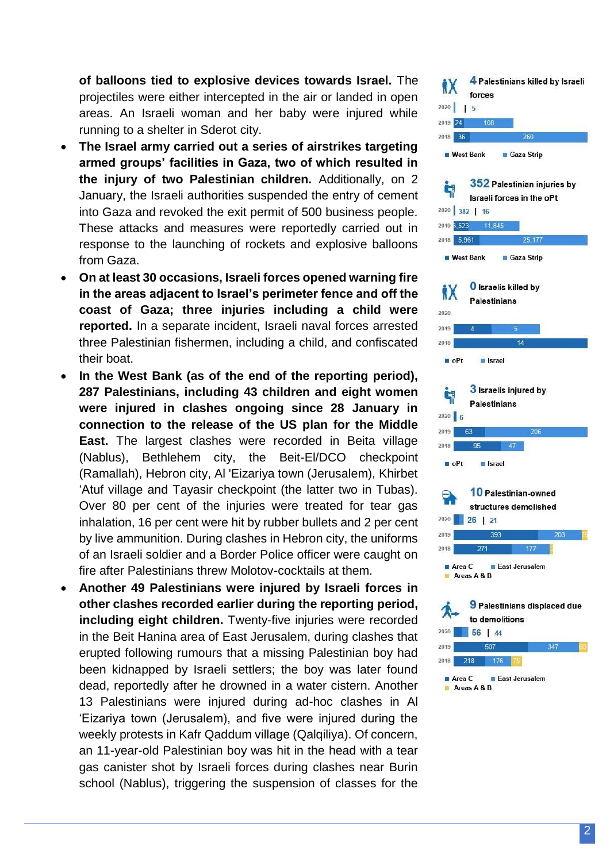**of balloons tied to explosive devices towards Israel.** The projectiles were either intercepted in the air or landed in open areas. An Israeli woman and her baby were injured while running to a shelter in Sderot city.

- **The Israel army carried out a series of airstrikes targeting armed groups' facilities in Gaza, two of which resulted in the injury of two Palestinian children.** Additionally, on 2 January, the Israeli authorities suspended the entry of cement into Gaza and revoked the exit permit of 500 business people. These attacks and measures were reportedly carried out in response to the launching of rockets and explosive balloons from Gaza.
- **On at least 30 occasions, Israeli forces opened warning fire in the areas adjacent to Israel's perimeter fence and off the coast of Gaza; three injuries including a child were reported.** In a separate incident, Israeli naval forces arrested three Palestinian fishermen, including a child, and confiscated their boat.
- **In the West Bank (as of the end of the reporting period), 287 Palestinians, including 43 children and eight women were injured in clashes ongoing since 28 January in connection to the release of the US plan for the Middle East.** The largest clashes were recorded in Beita village (Nablus), Bethlehem city, the Beit -El/DCO checkpoint (Ramallah), Hebron city, Al 'Eizariya town (Jerusalem), Khirbet 'Atuf village and Tayasir checkpoint (the latter two in Tubas). Over 80 per cent of the injuries were treated for tear gas inhalation, 16 per cent were hit by rubber bullets and 2 per cent by live ammunition. During clashes in Hebron city, the uniforms of an Israeli soldier and a Border Police officer were caught on fire after Palestinians threw Molotov -cocktails at them.
- **Another 49 Palestinians were injured by Israeli forces in other clashes recorded earlier during the reporting period, including eight children.** Twenty -five injuries were recorded in the Beit Hanina area of East Jerusalem, during clashes that erupted following rumours that a missing Palestinian boy had been kidnapped by Israeli settlers; the boy was later found dead, reportedly after he drowned in a water cistern. Another 13 Palestinians were injured during ad -hoc clashes in Al 'Eizariya town (Jerusalem), and five were injured during the weekly protests in Kafr Qaddum village (Qalqiliya). Of concern, an 11 -year -old Palestinian boy was hit in the head with a tear gas canister shot by Israeli forces during clashes near Burin school (Nablus), triggering the suspension of classes for the

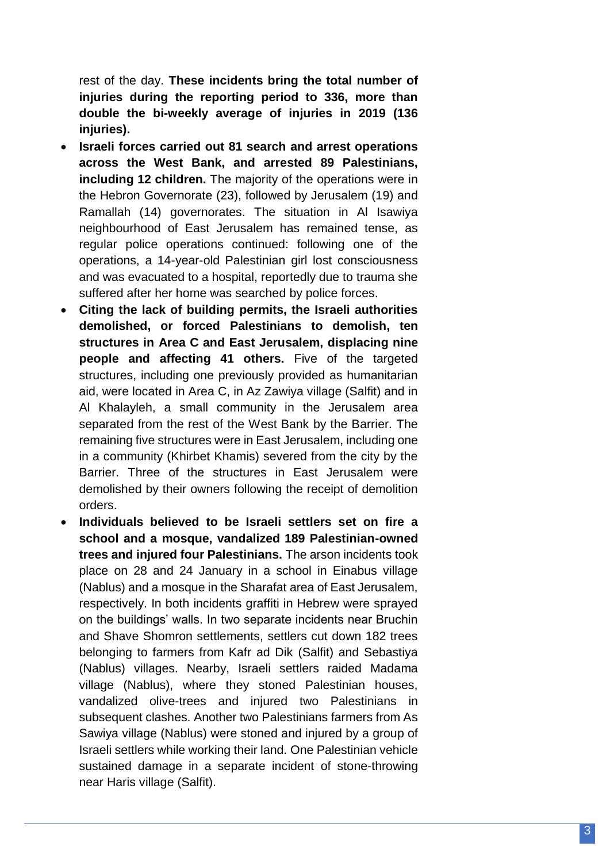rest of the day. **These incidents bring the total number of injuries during the reporting period to 336, more than double the bi -weekly average of injuries in 2019 (136 injuries).**

- **Israeli forces carried out 81 search and arrest operations across the West Bank, and arrested 89 Palestinians, including 12 children.** The majority of the operations were in the Hebron Governorate (23), followed by Jerusalem (19) and Ramallah (14) governorates. The situation in Al Isawiya neighbourhood of East Jerusalem has remained tense, as regular police operations continued: following one of the operations, a 14 -year -old Palestinian girl lost consciousness and was evacuated to a hospital, reportedly due to trauma she suffered after her home was searched by police forces.
- **Citing the lack of building permits, the Israeli authorities demolished, or forced Palestinians to demolish, ten structures in Area C and East Jerusalem, displacing nine people and affecting 41 others.** Five of the targeted structures, including one previously provided as humanitarian aid, were located in Area C, in Az Zawiya village (Salfit) and in Al Khalayleh, a small community in the Jerusalem area separated from the rest of the West Bank by the Barrier. The remaining five structures were in East Jerusalem, including one in a community (Khirbet Khamis) severed from the city by the Barrier. Three of the structures in East Jerusalem were demolished by their owners following the receipt of demolition orders.
- **Individuals believed to be Israeli settlers set on fire a school and a mosque, vandalized 189 Palestinian -owned trees and injured four Palestinians.** The arson incidents took place on 28 and 24 January in a school in Einabus village (Nablus) and a mosque in the Sharafat area of East Jerusalem, respectively. In both incidents graffiti in Hebrew were sprayed on the buildings' walls. In two separate incidents near Bruchin and Shave Shomron settlements, settlers cut down 182 trees belonging to farmers from Kafr ad Dik (Salfit) and Sebastiya (Nablus) villages. Nearby, Israeli settlers raided Madama village (Nablus), where they stoned Palestinian houses, vandalized olive -trees and injured two Palestinians in subsequent clashes. Another two Palestinians farmers from As Sawiya village (Nablus) were stoned and injured by a group of Israeli settlers while working their land. One Palestinian vehicle sustained damage in a separate incident of stone -throwing near Haris village (Salfit).